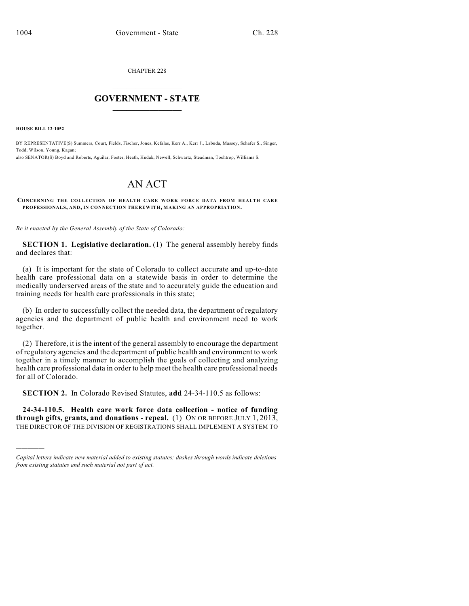CHAPTER 228

## $\mathcal{L}_\text{max}$  . The set of the set of the set of the set of the set of the set of the set of the set of the set of the set of the set of the set of the set of the set of the set of the set of the set of the set of the set **GOVERNMENT - STATE**  $\_$   $\_$

**HOUSE BILL 12-1052**

)))))

BY REPRESENTATIVE(S) Summers, Court, Fields, Fischer, Jones, Kefalas, Kerr A., Kerr J., Labuda, Massey, Schafer S., Singer, Todd, Wilson, Young, Kagan;

also SENATOR(S) Boyd and Roberts, Aguilar, Foster, Heath, Hudak, Newell, Schwartz, Steadman, Tochtrop, Williams S.

## AN ACT

**CONCERNING THE COLLECTION OF HEALTH CARE WORK FORCE DATA FROM HEALTH CARE PROFESSIONALS, AND, IN CONNECTION THEREWITH, MAKING AN APPROPRIATION.**

*Be it enacted by the General Assembly of the State of Colorado:*

**SECTION 1. Legislative declaration.** (1) The general assembly hereby finds and declares that:

(a) It is important for the state of Colorado to collect accurate and up-to-date health care professional data on a statewide basis in order to determine the medically underserved areas of the state and to accurately guide the education and training needs for health care professionals in this state;

(b) In order to successfully collect the needed data, the department of regulatory agencies and the department of public health and environment need to work together.

(2) Therefore, it is the intent of the general assembly to encourage the department of regulatory agencies and the department of public health and environment to work together in a timely manner to accomplish the goals of collecting and analyzing health care professional data in order to help meet the health care professional needs for all of Colorado.

**SECTION 2.** In Colorado Revised Statutes, **add** 24-34-110.5 as follows:

**24-34-110.5. Health care work force data collection - notice of funding through gifts, grants, and donations - repeal.** (1) ON OR BEFORE JULY 1, 2013, THE DIRECTOR OF THE DIVISION OF REGISTRATIONS SHALL IMPLEMENT A SYSTEM TO

*Capital letters indicate new material added to existing statutes; dashes through words indicate deletions from existing statutes and such material not part of act.*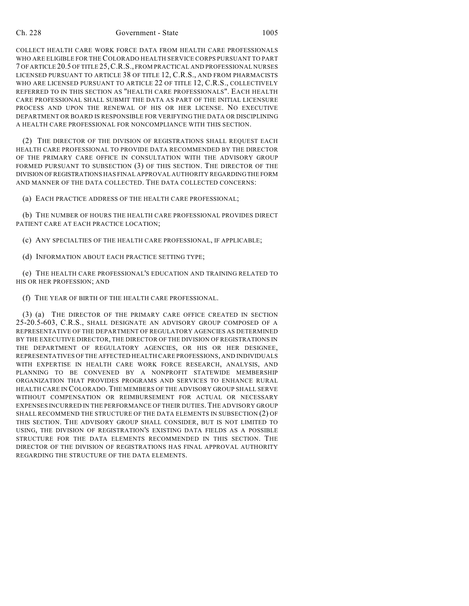## Ch. 228 Government - State 1005

COLLECT HEALTH CARE WORK FORCE DATA FROM HEALTH CARE PROFESSIONALS WHO ARE ELIGIBLE FOR THE COLORADO HEALTH SERVICE CORPS PURSUANT TO PART 7 OFARTICLE 20.5 OF TITLE 25,C.R.S., FROM PRACTICAL AND PROFESSIONAL NURSES LICENSED PURSUANT TO ARTICLE 38 OF TITLE 12, C.R.S., AND FROM PHARMACISTS WHO ARE LICENSED PURSUANT TO ARTICLE 22 OF TITLE 12, C.R.S., COLLECTIVELY REFERRED TO IN THIS SECTION AS "HEALTH CARE PROFESSIONALS". EACH HEALTH CARE PROFESSIONAL SHALL SUBMIT THE DATA AS PART OF THE INITIAL LICENSURE PROCESS AND UPON THE RENEWAL OF HIS OR HER LICENSE. NO EXECUTIVE DEPARTMENT OR BOARD IS RESPONSIBLE FOR VERIFYING THE DATA OR DISCIPLINING A HEALTH CARE PROFESSIONAL FOR NONCOMPLIANCE WITH THIS SECTION.

(2) THE DIRECTOR OF THE DIVISION OF REGISTRATIONS SHALL REQUEST EACH HEALTH CARE PROFESSIONAL TO PROVIDE DATA RECOMMENDED BY THE DIRECTOR OF THE PRIMARY CARE OFFICE IN CONSULTATION WITH THE ADVISORY GROUP FORMED PURSUANT TO SUBSECTION (3) OF THIS SECTION. THE DIRECTOR OF THE DIVISION OFREGISTRATIONS HAS FINAL APPROVAL AUTHORITY REGARDINGTHE FORM AND MANNER OF THE DATA COLLECTED. THE DATA COLLECTED CONCERNS:

(a) EACH PRACTICE ADDRESS OF THE HEALTH CARE PROFESSIONAL;

(b) THE NUMBER OF HOURS THE HEALTH CARE PROFESSIONAL PROVIDES DIRECT PATIENT CARE AT EACH PRACTICE LOCATION;

(c) ANY SPECIALTIES OF THE HEALTH CARE PROFESSIONAL, IF APPLICABLE;

(d) INFORMATION ABOUT EACH PRACTICE SETTING TYPE;

(e) THE HEALTH CARE PROFESSIONAL'S EDUCATION AND TRAINING RELATED TO HIS OR HER PROFESSION; AND

(f) THE YEAR OF BIRTH OF THE HEALTH CARE PROFESSIONAL.

(3) (a) THE DIRECTOR OF THE PRIMARY CARE OFFICE CREATED IN SECTION 25-20.5-603, C.R.S., SHALL DESIGNATE AN ADVISORY GROUP COMPOSED OF A REPRESENTATIVE OF THE DEPARTMENT OF REGULATORY AGENCIES AS DETERMINED BY THE EXECUTIVE DIRECTOR, THE DIRECTOR OF THE DIVISION OF REGISTRATIONS IN THE DEPARTMENT OF REGULATORY AGENCIES, OR HIS OR HER DESIGNEE, REPRESENTATIVES OF THE AFFECTED HEALTH CARE PROFESSIONS, AND INDIVIDUALS WITH EXPERTISE IN HEALTH CARE WORK FORCE RESEARCH, ANALYSIS, AND PLANNING TO BE CONVENED BY A NONPROFIT STATEWIDE MEMBERSHIP ORGANIZATION THAT PROVIDES PROGRAMS AND SERVICES TO ENHANCE RURAL HEALTH CARE IN COLORADO.THE MEMBERS OF THE ADVISORY GROUP SHALL SERVE WITHOUT COMPENSATION OR REIMBURSEMENT FOR ACTUAL OR NECESSARY EXPENSES INCURRED IN THE PERFORMANCE OF THEIR DUTIES.THE ADVISORY GROUP SHALL RECOMMEND THE STRUCTURE OF THE DATA ELEMENTS IN SUBSECTION (2) OF THIS SECTION. THE ADVISORY GROUP SHALL CONSIDER, BUT IS NOT LIMITED TO USING, THE DIVISION OF REGISTRATION'S EXISTING DATA FIELDS AS A POSSIBLE STRUCTURE FOR THE DATA ELEMENTS RECOMMENDED IN THIS SECTION. THE DIRECTOR OF THE DIVISION OF REGISTRATIONS HAS FINAL APPROVAL AUTHORITY REGARDING THE STRUCTURE OF THE DATA ELEMENTS.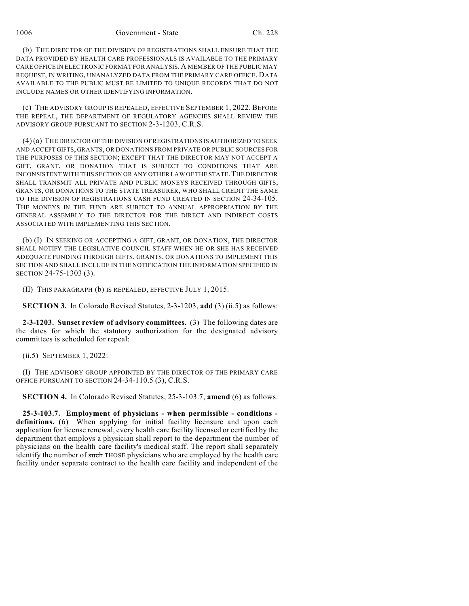1006 Government - State Ch. 228

(b) THE DIRECTOR OF THE DIVISION OF REGISTRATIONS SHALL ENSURE THAT THE DATA PROVIDED BY HEALTH CARE PROFESSIONALS IS AVAILABLE TO THE PRIMARY CARE OFFICE IN ELECTRONIC FORMAT FOR ANALYSIS. A MEMBER OF THE PUBLIC MAY REQUEST, IN WRITING, UNANALYZED DATA FROM THE PRIMARY CARE OFFICE. DATA AVAILABLE TO THE PUBLIC MUST BE LIMITED TO UNIQUE RECORDS THAT DO NOT INCLUDE NAMES OR OTHER IDENTIFYING INFORMATION.

(c) THE ADVISORY GROUP IS REPEALED, EFFECTIVE SEPTEMBER 1, 2022. BEFORE THE REPEAL, THE DEPARTMENT OF REGULATORY AGENCIES SHALL REVIEW THE ADVISORY GROUP PURSUANT TO SECTION 2-3-1203, C.R.S.

(4) (a) THE DIRECTOR OF THE DIVISION OF REGISTRATIONS IS AUTHORIZED TO SEEK AND ACCEPT GIFTS, GRANTS, OR DONATIONS FROM PRIVATE OR PUBLIC SOURCES FOR THE PURPOSES OF THIS SECTION; EXCEPT THAT THE DIRECTOR MAY NOT ACCEPT A GIFT, GRANT, OR DONATION THAT IS SUBJECT TO CONDITIONS THAT ARE INCONSISTENT WITH THIS SECTION OR ANY OTHER LAW OF THE STATE. THE DIRECTOR SHALL TRANSMIT ALL PRIVATE AND PUBLIC MONEYS RECEIVED THROUGH GIFTS, GRANTS, OR DONATIONS TO THE STATE TREASURER, WHO SHALL CREDIT THE SAME TO THE DIVISION OF REGISTRATIONS CASH FUND CREATED IN SECTION 24-34-105. THE MONEYS IN THE FUND ARE SUBJECT TO ANNUAL APPROPRIATION BY THE GENERAL ASSEMBLY TO THE DIRECTOR FOR THE DIRECT AND INDIRECT COSTS ASSOCIATED WITH IMPLEMENTING THIS SECTION.

(b) (I) IN SEEKING OR ACCEPTING A GIFT, GRANT, OR DONATION, THE DIRECTOR SHALL NOTIFY THE LEGISLATIVE COUNCIL STAFF WHEN HE OR SHE HAS RECEIVED ADEQUATE FUNDING THROUGH GIFTS, GRANTS, OR DONATIONS TO IMPLEMENT THIS SECTION AND SHALL INCLUDE IN THE NOTIFICATION THE INFORMATION SPECIFIED IN SECTION 24-75-1303 (3).

(II) THIS PARAGRAPH (b) IS REPEALED, EFFECTIVE JULY 1, 2015.

**SECTION 3.** In Colorado Revised Statutes, 2-3-1203, **add** (3) (ii.5) as follows:

**2-3-1203. Sunset review of advisory committees.** (3) The following dates are the dates for which the statutory authorization for the designated advisory committees is scheduled for repeal:

(ii.5) SEPTEMBER 1, 2022:

(I) THE ADVISORY GROUP APPOINTED BY THE DIRECTOR OF THE PRIMARY CARE OFFICE PURSUANT TO SECTION 24-34-110.5 (3), C.R.S.

**SECTION 4.** In Colorado Revised Statutes, 25-3-103.7, **amend** (6) as follows:

**25-3-103.7. Employment of physicians - when permissible - conditions definitions.** (6) When applying for initial facility licensure and upon each application for license renewal, every health care facility licensed or certified by the department that employs a physician shall report to the department the number of physicians on the health care facility's medical staff. The report shall separately identify the number of such THOSE physicians who are employed by the health care facility under separate contract to the health care facility and independent of the